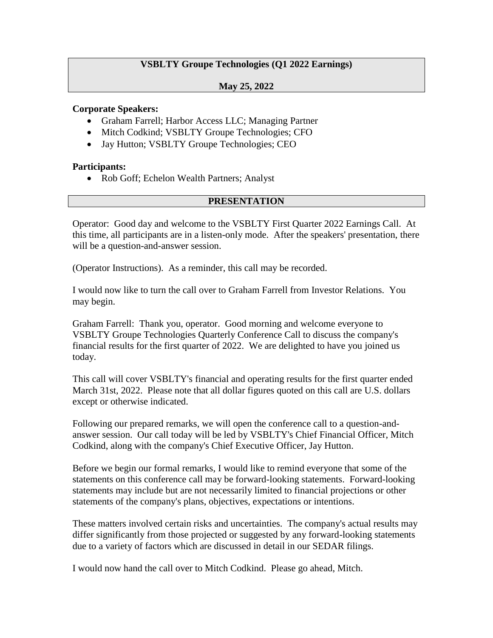# **VSBLTY Groupe Technologies (Q1 2022 Earnings)**

### **May 25, 2022**

#### **Corporate Speakers:**

- Graham Farrell; Harbor Access LLC; Managing Partner
- Mitch Codkind; VSBLTY Groupe Technologies; CFO
- Jay Hutton; VSBLTY Groupe Technologies; CEO

#### **Participants:**

Rob Goff; Echelon Wealth Partners; Analyst

#### **PRESENTATION**

Operator: Good day and welcome to the VSBLTY First Quarter 2022 Earnings Call. At this time, all participants are in a listen-only mode. After the speakers' presentation, there will be a question-and-answer session.

(Operator Instructions). As a reminder, this call may be recorded.

I would now like to turn the call over to Graham Farrell from Investor Relations. You may begin.

Graham Farrell: Thank you, operator. Good morning and welcome everyone to VSBLTY Groupe Technologies Quarterly Conference Call to discuss the company's financial results for the first quarter of 2022. We are delighted to have you joined us today.

This call will cover VSBLTY's financial and operating results for the first quarter ended March 31st, 2022. Please note that all dollar figures quoted on this call are U.S. dollars except or otherwise indicated.

Following our prepared remarks, we will open the conference call to a question-andanswer session. Our call today will be led by VSBLTY's Chief Financial Officer, Mitch Codkind, along with the company's Chief Executive Officer, Jay Hutton.

Before we begin our formal remarks, I would like to remind everyone that some of the statements on this conference call may be forward-looking statements. Forward-looking statements may include but are not necessarily limited to financial projections or other statements of the company's plans, objectives, expectations or intentions.

These matters involved certain risks and uncertainties. The company's actual results may differ significantly from those projected or suggested by any forward-looking statements due to a variety of factors which are discussed in detail in our SEDAR filings.

I would now hand the call over to Mitch Codkind. Please go ahead, Mitch.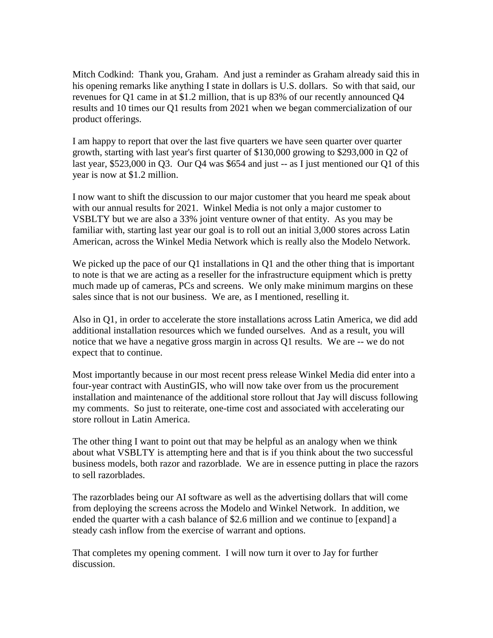Mitch Codkind: Thank you, Graham. And just a reminder as Graham already said this in his opening remarks like anything I state in dollars is U.S. dollars. So with that said, our revenues for Q1 came in at \$1.2 million, that is up 83% of our recently announced Q4 results and 10 times our Q1 results from 2021 when we began commercialization of our product offerings.

I am happy to report that over the last five quarters we have seen quarter over quarter growth, starting with last year's first quarter of \$130,000 growing to \$293,000 in Q2 of last year, \$523,000 in Q3. Our Q4 was \$654 and just -- as I just mentioned our Q1 of this year is now at \$1.2 million.

I now want to shift the discussion to our major customer that you heard me speak about with our annual results for 2021. Winkel Media is not only a major customer to VSBLTY but we are also a 33% joint venture owner of that entity. As you may be familiar with, starting last year our goal is to roll out an initial 3,000 stores across Latin American, across the Winkel Media Network which is really also the Modelo Network.

We picked up the pace of our Q1 installations in Q1 and the other thing that is important to note is that we are acting as a reseller for the infrastructure equipment which is pretty much made up of cameras, PCs and screens. We only make minimum margins on these sales since that is not our business. We are, as I mentioned, reselling it.

Also in Q1, in order to accelerate the store installations across Latin America, we did add additional installation resources which we funded ourselves. And as a result, you will notice that we have a negative gross margin in across Q1 results. We are -- we do not expect that to continue.

Most importantly because in our most recent press release Winkel Media did enter into a four-year contract with AustinGIS, who will now take over from us the procurement installation and maintenance of the additional store rollout that Jay will discuss following my comments. So just to reiterate, one-time cost and associated with accelerating our store rollout in Latin America.

The other thing I want to point out that may be helpful as an analogy when we think about what VSBLTY is attempting here and that is if you think about the two successful business models, both razor and razorblade. We are in essence putting in place the razors to sell razorblades.

The razorblades being our AI software as well as the advertising dollars that will come from deploying the screens across the Modelo and Winkel Network. In addition, we ended the quarter with a cash balance of \$2.6 million and we continue to [expand] a steady cash inflow from the exercise of warrant and options.

That completes my opening comment. I will now turn it over to Jay for further discussion.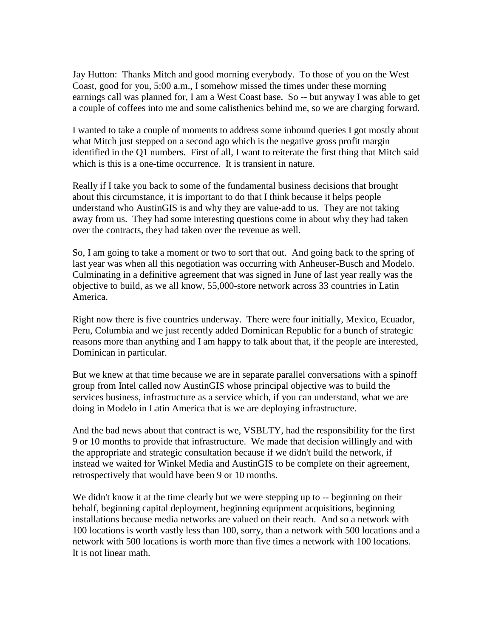Jay Hutton: Thanks Mitch and good morning everybody. To those of you on the West Coast, good for you, 5:00 a.m., I somehow missed the times under these morning earnings call was planned for, I am a West Coast base. So -- but anyway I was able to get a couple of coffees into me and some calisthenics behind me, so we are charging forward.

I wanted to take a couple of moments to address some inbound queries I got mostly about what Mitch just stepped on a second ago which is the negative gross profit margin identified in the Q1 numbers. First of all, I want to reiterate the first thing that Mitch said which is this is a one-time occurrence. It is transient in nature.

Really if I take you back to some of the fundamental business decisions that brought about this circumstance, it is important to do that I think because it helps people understand who AustinGIS is and why they are value-add to us. They are not taking away from us. They had some interesting questions come in about why they had taken over the contracts, they had taken over the revenue as well.

So, I am going to take a moment or two to sort that out. And going back to the spring of last year was when all this negotiation was occurring with Anheuser-Busch and Modelo. Culminating in a definitive agreement that was signed in June of last year really was the objective to build, as we all know, 55,000-store network across 33 countries in Latin America.

Right now there is five countries underway. There were four initially, Mexico, Ecuador, Peru, Columbia and we just recently added Dominican Republic for a bunch of strategic reasons more than anything and I am happy to talk about that, if the people are interested, Dominican in particular.

But we knew at that time because we are in separate parallel conversations with a spinoff group from Intel called now AustinGIS whose principal objective was to build the services business, infrastructure as a service which, if you can understand, what we are doing in Modelo in Latin America that is we are deploying infrastructure.

And the bad news about that contract is we, VSBLTY, had the responsibility for the first 9 or 10 months to provide that infrastructure. We made that decision willingly and with the appropriate and strategic consultation because if we didn't build the network, if instead we waited for Winkel Media and AustinGIS to be complete on their agreement, retrospectively that would have been 9 or 10 months.

We didn't know it at the time clearly but we were stepping up to -- beginning on their behalf, beginning capital deployment, beginning equipment acquisitions, beginning installations because media networks are valued on their reach. And so a network with 100 locations is worth vastly less than 100, sorry, than a network with 500 locations and a network with 500 locations is worth more than five times a network with 100 locations. It is not linear math.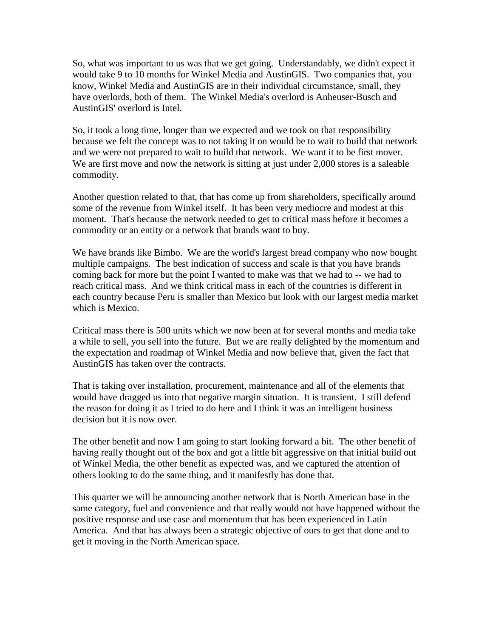So, what was important to us was that we get going. Understandably, we didn't expect it would take 9 to 10 months for Winkel Media and AustinGIS. Two companies that, you know, Winkel Media and AustinGIS are in their individual circumstance, small, they have overlords, both of them. The Winkel Media's overlord is Anheuser-Busch and AustinGIS' overlord is Intel.

So, it took a long time, longer than we expected and we took on that responsibility because we felt the concept was to not taking it on would be to wait to build that network and we were not prepared to wait to build that network. We want it to be first mover. We are first move and now the network is sitting at just under 2,000 stores is a saleable commodity.

Another question related to that, that has come up from shareholders, specifically around some of the revenue from Winkel itself. It has been very mediocre and modest at this moment. That's because the network needed to get to critical mass before it becomes a commodity or an entity or a network that brands want to buy.

We have brands like Bimbo. We are the world's largest bread company who now bought multiple campaigns. The best indication of success and scale is that you have brands coming back for more but the point I wanted to make was that we had to -- we had to reach critical mass. And we think critical mass in each of the countries is different in each country because Peru is smaller than Mexico but look with our largest media market which is Mexico.

Critical mass there is 500 units which we now been at for several months and media take a while to sell, you sell into the future. But we are really delighted by the momentum and the expectation and roadmap of Winkel Media and now believe that, given the fact that AustinGIS has taken over the contracts.

That is taking over installation, procurement, maintenance and all of the elements that would have dragged us into that negative margin situation. It is transient. I still defend the reason for doing it as I tried to do here and I think it was an intelligent business decision but it is now over.

The other benefit and now I am going to start looking forward a bit. The other benefit of having really thought out of the box and got a little bit aggressive on that initial build out of Winkel Media, the other benefit as expected was, and we captured the attention of others looking to do the same thing, and it manifestly has done that.

This quarter we will be announcing another network that is North American base in the same category, fuel and convenience and that really would not have happened without the positive response and use case and momentum that has been experienced in Latin America. And that has always been a strategic objective of ours to get that done and to get it moving in the North American space.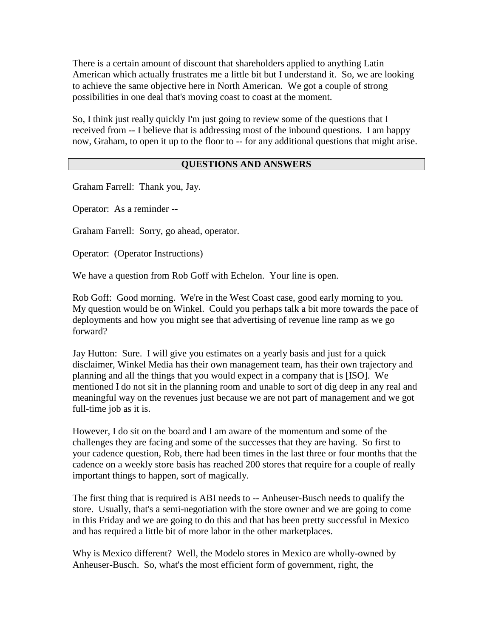There is a certain amount of discount that shareholders applied to anything Latin American which actually frustrates me a little bit but I understand it. So, we are looking to achieve the same objective here in North American. We got a couple of strong possibilities in one deal that's moving coast to coast at the moment.

So, I think just really quickly I'm just going to review some of the questions that I received from -- I believe that is addressing most of the inbound questions. I am happy now, Graham, to open it up to the floor to -- for any additional questions that might arise.

## **QUESTIONS AND ANSWERS**

Graham Farrell: Thank you, Jay.

Operator: As a reminder --

Graham Farrell: Sorry, go ahead, operator.

Operator: (Operator Instructions)

We have a question from Rob Goff with Echelon. Your line is open.

Rob Goff: Good morning. We're in the West Coast case, good early morning to you. My question would be on Winkel. Could you perhaps talk a bit more towards the pace of deployments and how you might see that advertising of revenue line ramp as we go forward?

Jay Hutton: Sure. I will give you estimates on a yearly basis and just for a quick disclaimer, Winkel Media has their own management team, has their own trajectory and planning and all the things that you would expect in a company that is [ISO]. We mentioned I do not sit in the planning room and unable to sort of dig deep in any real and meaningful way on the revenues just because we are not part of management and we got full-time job as it is.

However, I do sit on the board and I am aware of the momentum and some of the challenges they are facing and some of the successes that they are having. So first to your cadence question, Rob, there had been times in the last three or four months that the cadence on a weekly store basis has reached 200 stores that require for a couple of really important things to happen, sort of magically.

The first thing that is required is ABI needs to -- Anheuser-Busch needs to qualify the store. Usually, that's a semi-negotiation with the store owner and we are going to come in this Friday and we are going to do this and that has been pretty successful in Mexico and has required a little bit of more labor in the other marketplaces.

Why is Mexico different? Well, the Modelo stores in Mexico are wholly-owned by Anheuser-Busch. So, what's the most efficient form of government, right, the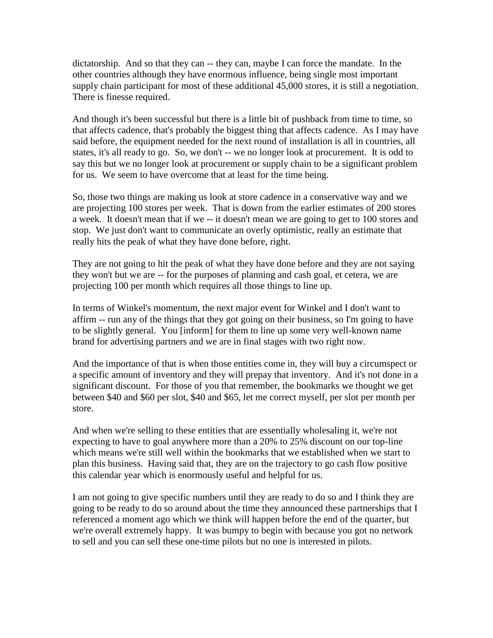dictatorship. And so that they can -- they can, maybe I can force the mandate. In the other countries although they have enormous influence, being single most important supply chain participant for most of these additional 45,000 stores, it is still a negotiation. There is finesse required.

And though it's been successful but there is a little bit of pushback from time to time, so that affects cadence, that's probably the biggest thing that affects cadence. As I may have said before, the equipment needed for the next round of installation is all in countries, all states, it's all ready to go. So, we don't -- we no longer look at procurement. It is odd to say this but we no longer look at procurement or supply chain to be a significant problem for us. We seem to have overcome that at least for the time being.

So, those two things are making us look at store cadence in a conservative way and we are projecting 100 stores per week. That is down from the earlier estimates of 200 stores a week. It doesn't mean that if we -- it doesn't mean we are going to get to 100 stores and stop. We just don't want to communicate an overly optimistic, really an estimate that really hits the peak of what they have done before, right.

They are not going to hit the peak of what they have done before and they are not saying they won't but we are -- for the purposes of planning and cash goal, et cetera, we are projecting 100 per month which requires all those things to line up.

In terms of Winkel's momentum, the next major event for Winkel and I don't want to affirm -- run any of the things that they got going on their business, so I'm going to have to be slightly general. You [inform] for them to line up some very well-known name brand for advertising partners and we are in final stages with two right now.

And the importance of that is when those entities come in, they will buy a circumspect or a specific amount of inventory and they will prepay that inventory. And it's not done in a significant discount. For those of you that remember, the bookmarks we thought we get between \$40 and \$60 per slot, \$40 and \$65, let me correct myself, per slot per month per store.

And when we're selling to these entities that are essentially wholesaling it, we're not expecting to have to goal anywhere more than a 20% to 25% discount on our top-line which means we're still well within the bookmarks that we established when we start to plan this business. Having said that, they are on the trajectory to go cash flow positive this calendar year which is enormously useful and helpful for us.

I am not going to give specific numbers until they are ready to do so and I think they are going to be ready to do so around about the time they announced these partnerships that I referenced a moment ago which we think will happen before the end of the quarter, but we're overall extremely happy. It was bumpy to begin with because you got no network to sell and you can sell these one-time pilots but no one is interested in pilots.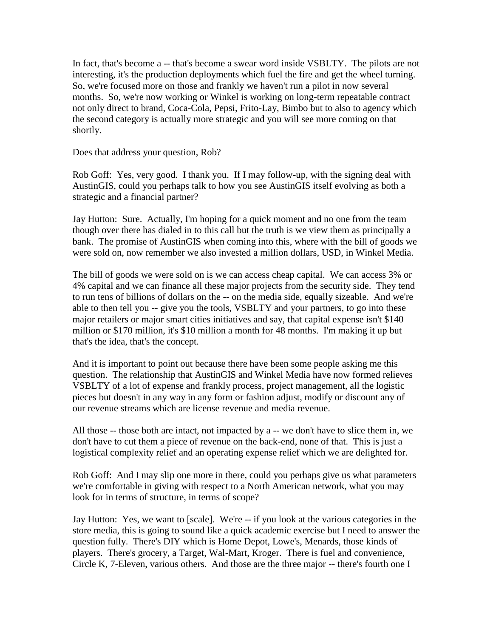In fact, that's become a -- that's become a swear word inside VSBLTY. The pilots are not interesting, it's the production deployments which fuel the fire and get the wheel turning. So, we're focused more on those and frankly we haven't run a pilot in now several months. So, we're now working or Winkel is working on long-term repeatable contract not only direct to brand, Coca-Cola, Pepsi, Frito-Lay, Bimbo but to also to agency which the second category is actually more strategic and you will see more coming on that shortly.

Does that address your question, Rob?

Rob Goff: Yes, very good. I thank you. If I may follow-up, with the signing deal with AustinGIS, could you perhaps talk to how you see AustinGIS itself evolving as both a strategic and a financial partner?

Jay Hutton: Sure. Actually, I'm hoping for a quick moment and no one from the team though over there has dialed in to this call but the truth is we view them as principally a bank. The promise of AustinGIS when coming into this, where with the bill of goods we were sold on, now remember we also invested a million dollars, USD, in Winkel Media.

The bill of goods we were sold on is we can access cheap capital. We can access 3% or 4% capital and we can finance all these major projects from the security side. They tend to run tens of billions of dollars on the -- on the media side, equally sizeable. And we're able to then tell you -- give you the tools, VSBLTY and your partners, to go into these major retailers or major smart cities initiatives and say, that capital expense isn't \$140 million or \$170 million, it's \$10 million a month for 48 months. I'm making it up but that's the idea, that's the concept.

And it is important to point out because there have been some people asking me this question. The relationship that AustinGIS and Winkel Media have now formed relieves VSBLTY of a lot of expense and frankly process, project management, all the logistic pieces but doesn't in any way in any form or fashion adjust, modify or discount any of our revenue streams which are license revenue and media revenue.

All those -- those both are intact, not impacted by a -- we don't have to slice them in, we don't have to cut them a piece of revenue on the back-end, none of that. This is just a logistical complexity relief and an operating expense relief which we are delighted for.

Rob Goff: And I may slip one more in there, could you perhaps give us what parameters we're comfortable in giving with respect to a North American network, what you may look for in terms of structure, in terms of scope?

Jay Hutton: Yes, we want to [scale]. We're -- if you look at the various categories in the store media, this is going to sound like a quick academic exercise but I need to answer the question fully. There's DIY which is Home Depot, Lowe's, Menards, those kinds of players. There's grocery, a Target, Wal-Mart, Kroger. There is fuel and convenience, Circle K, 7-Eleven, various others. And those are the three major -- there's fourth one I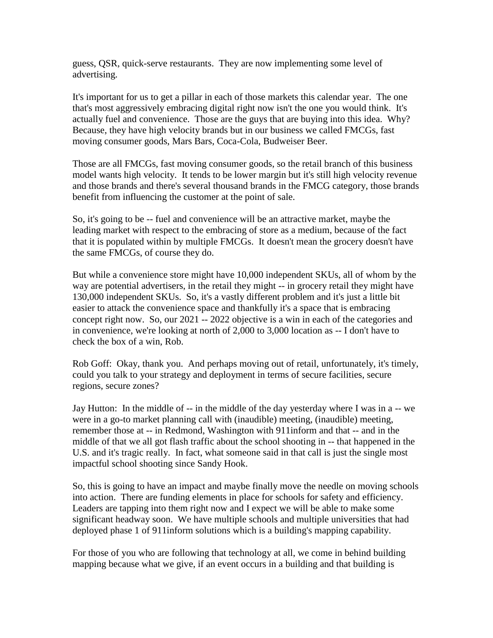guess, QSR, quick-serve restaurants. They are now implementing some level of advertising.

It's important for us to get a pillar in each of those markets this calendar year. The one that's most aggressively embracing digital right now isn't the one you would think. It's actually fuel and convenience. Those are the guys that are buying into this idea. Why? Because, they have high velocity brands but in our business we called FMCGs, fast moving consumer goods, Mars Bars, Coca-Cola, Budweiser Beer.

Those are all FMCGs, fast moving consumer goods, so the retail branch of this business model wants high velocity. It tends to be lower margin but it's still high velocity revenue and those brands and there's several thousand brands in the FMCG category, those brands benefit from influencing the customer at the point of sale.

So, it's going to be -- fuel and convenience will be an attractive market, maybe the leading market with respect to the embracing of store as a medium, because of the fact that it is populated within by multiple FMCGs. It doesn't mean the grocery doesn't have the same FMCGs, of course they do.

But while a convenience store might have 10,000 independent SKUs, all of whom by the way are potential advertisers, in the retail they might -- in grocery retail they might have 130,000 independent SKUs. So, it's a vastly different problem and it's just a little bit easier to attack the convenience space and thankfully it's a space that is embracing concept right now. So, our 2021 -- 2022 objective is a win in each of the categories and in convenience, we're looking at north of 2,000 to 3,000 location as -- I don't have to check the box of a win, Rob.

Rob Goff: Okay, thank you. And perhaps moving out of retail, unfortunately, it's timely, could you talk to your strategy and deployment in terms of secure facilities, secure regions, secure zones?

Jay Hutton: In the middle of -- in the middle of the day yesterday where I was in a -- we were in a go-to market planning call with (inaudible) meeting, (inaudible) meeting, remember those at -- in Redmond, Washington with 911inform and that -- and in the middle of that we all got flash traffic about the school shooting in -- that happened in the U.S. and it's tragic really. In fact, what someone said in that call is just the single most impactful school shooting since Sandy Hook.

So, this is going to have an impact and maybe finally move the needle on moving schools into action. There are funding elements in place for schools for safety and efficiency. Leaders are tapping into them right now and I expect we will be able to make some significant headway soon. We have multiple schools and multiple universities that had deployed phase 1 of 911inform solutions which is a building's mapping capability.

For those of you who are following that technology at all, we come in behind building mapping because what we give, if an event occurs in a building and that building is